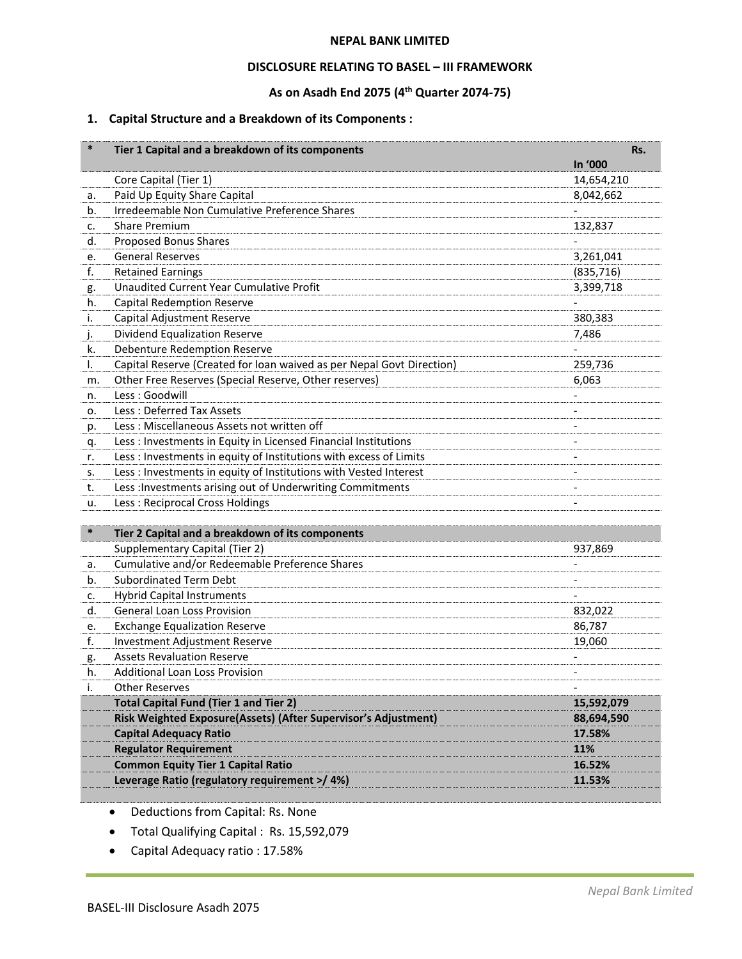#### **NEPAL BANK LIMITED**

### **DISCLOSURE RELATING TO BASEL – III FRAMEWORK**

# **As on Asadh End 2075 (4 th Quarter 2074-75)**

### **1. Capital Structure and a Breakdown of its Components :**

| $\ast$ | Tier 1 Capital and a breakdown of its components                      |            | Rs. |
|--------|-----------------------------------------------------------------------|------------|-----|
|        |                                                                       | In '000    |     |
|        | Core Capital (Tier 1)                                                 | 14,654,210 |     |
| a.     | Paid Up Equity Share Capital                                          | 8,042,662  |     |
| b.     | Irredeemable Non Cumulative Preference Shares                         |            |     |
| c.     | <b>Share Premium</b>                                                  | 132,837    |     |
| d.     | Proposed Bonus Shares                                                 |            |     |
| e.     | <b>General Reserves</b>                                               | 3,261,041  |     |
| f.     | <b>Retained Earnings</b>                                              | (835, 716) |     |
| g.     | <b>Unaudited Current Year Cumulative Profit</b>                       | 3,399,718  |     |
| h.     | <b>Capital Redemption Reserve</b>                                     |            |     |
| i.     | Capital Adjustment Reserve                                            | 380,383    |     |
| j.     | <b>Dividend Equalization Reserve</b>                                  | 7,486      |     |
| k.     | Debenture Redemption Reserve                                          |            |     |
| I.     | Capital Reserve (Created for loan waived as per Nepal Govt Direction) | 259,736    |     |
| m.     | Other Free Reserves (Special Reserve, Other reserves)                 | 6,063      |     |
| n.     | Less: Goodwill                                                        |            |     |
| о.     | Less: Deferred Tax Assets                                             |            |     |
| p.     | Less: Miscellaneous Assets not written off                            |            |     |
| q.     | Less : Investments in Equity in Licensed Financial Institutions       |            |     |
| r.     | Less : Investments in equity of Institutions with excess of Limits    |            |     |
| s.     | Less : Investments in equity of Institutions with Vested Interest     |            |     |
| t.     | Less : Investments arising out of Underwriting Commitments            |            |     |
| u.     | Less: Reciprocal Cross Holdings                                       |            |     |
|        |                                                                       |            |     |
| $\ast$ | Tier 2 Capital and a breakdown of its components                      |            |     |
|        | Supplementary Capital (Tier 2)                                        | 937,869    |     |
| a.     | Cumulative and/or Redeemable Preference Shares                        |            |     |
| b.     | <b>Subordinated Term Debt</b>                                         |            |     |
| c.     | <b>Hybrid Capital Instruments</b>                                     |            |     |
| d.     | <b>General Loan Loss Provision</b>                                    | 832,022    |     |
| e.     | <b>Exchange Equalization Reserve</b>                                  | 86,787     |     |
| f.     | Investment Adjustment Reserve                                         | 19,060     |     |
| g.     | <b>Assets Revaluation Reserve</b>                                     |            |     |
| h.     | Additional Loan Loss Provision                                        |            |     |
| i.     | <b>Other Reserves</b>                                                 |            |     |
|        | <b>Total Capital Fund (Tier 1 and Tier 2)</b>                         | 15,592,079 |     |
|        | Risk Weighted Exposure(Assets) (After Supervisor's Adjustment)        | 88,694,590 |     |
|        | <b>Capital Adequacy Ratio</b>                                         | 17.58%     |     |
|        | <b>Regulator Requirement</b>                                          | 11%        |     |
|        | <b>Common Equity Tier 1 Capital Ratio</b>                             | 16.52%     |     |
|        | Leverage Ratio (regulatory requirement >/ 4%)                         | 11.53%     |     |

Deductions from Capital: Rs. None

- Total Qualifying Capital : Rs. 15,592,079
- Capital Adequacy ratio : 17.58%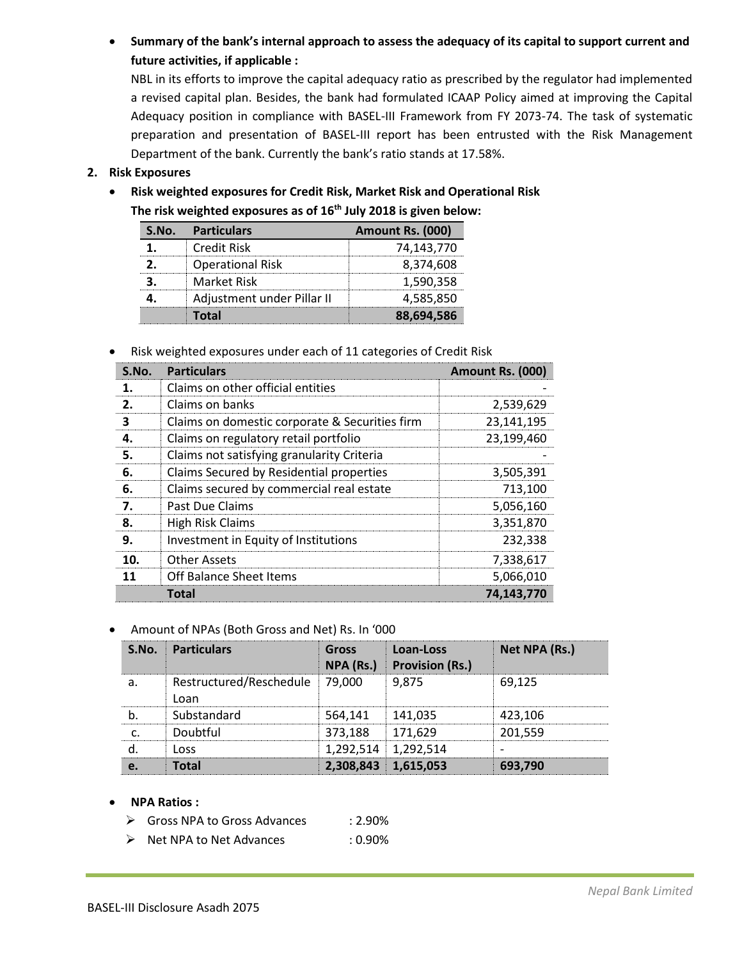**Summary of the bank's internal approach to assess the adequacy of its capital to support current and future activities, if applicable :** 

NBL in its efforts to improve the capital adequacy ratio as prescribed by the regulator had implemented a revised capital plan. Besides, the bank had formulated ICAAP Policy aimed at improving the Capital Adequacy position in compliance with BASEL-III Framework from FY 2073-74. The task of systematic preparation and presentation of BASEL-III report has been entrusted with the Risk Management Department of the bank. Currently the bank's ratio stands at 17.58%.

# **2. Risk Exposures**

 **Risk weighted exposures for Credit Risk, Market Risk and Operational Risk The risk weighted exposures as of 16 th July 2018 is given below:**

| S.No. Particulars          | Amount Rs. (000) |
|----------------------------|------------------|
| <b>Credit Risk</b>         | 74,143,770       |
| <b>Operational Risk</b>    | 8,374,608        |
| Market Risk                | 1,590,358        |
| Adjustment under Pillar II | 4,585,850        |
| Total                      | 88,694,586       |

Risk weighted exposures under each of 11 categories of Credit Risk

| S.No. | <b>Particulars</b>                             | Amount Rs. (000) |
|-------|------------------------------------------------|------------------|
| 1.    | Claims on other official entities              |                  |
| 2.    | Claims on banks                                | 2,539,629        |
| з     | Claims on domestic corporate & Securities firm | 23,141,195       |
| 4.    | Claims on regulatory retail portfolio          | 23,199,460       |
| 5.    | Claims not satisfying granularity Criteria     |                  |
| 6.    | Claims Secured by Residential properties       | 3,505,391        |
| 6.    | Claims secured by commercial real estate       | 713,100          |
| 7.    | Past Due Claims                                | 5,056,160        |
| 8.    | <b>High Risk Claims</b>                        | 3,351,870        |
| 9.    | Investment in Equity of Institutions           | 232,338          |
| 10.   | Other Assets                                   | 7,338,617        |
| 11    | Off Balance Sheet Items                        | 5,066,010        |
|       | Total                                          | 74,143,770       |

## Amount of NPAs (Both Gross and Net) Rs. In '000

| S.No. | <b>Particulars</b>              | <b>Gross</b><br>NPA (Rs.) | Loan-Loss<br><b>Provision (Rs.)</b> | Net NPA (Rs.) |
|-------|---------------------------------|---------------------------|-------------------------------------|---------------|
| a     | Restructured/Reschedule<br>Loan | 79.000                    | 9.875                               | 69.125        |
|       | Substandard                     | 564.141                   | 141.035                             | 423,106       |
|       | Doubtful                        | 373,188                   | 171.629                             | 201.559       |
|       | l nss                           |                           | 1,292,514 1,292,514                 |               |
|       | Total                           | 2,308,843 1,615,053       |                                     | 693,790       |

### **NPA Ratios :**

- ▶ Gross NPA to Gross Advances : 2.90%
- ▶ Net NPA to Net Advances : 0.90%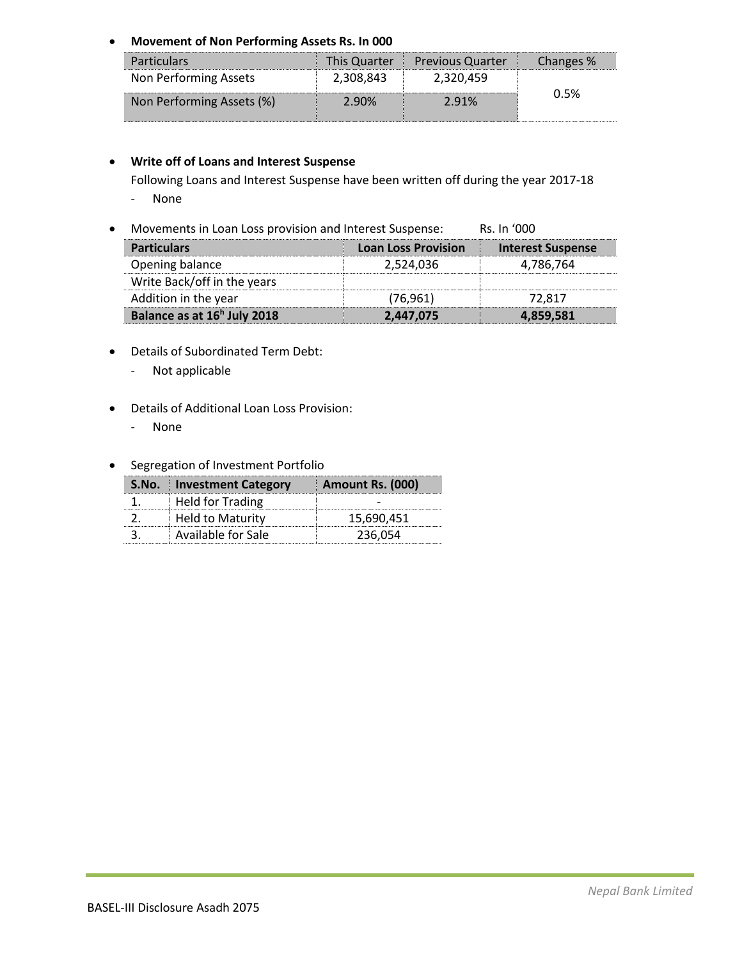**Movement of Non Performing Assets Rs. In 000**

| <b>Particulars</b>        |           | This Quarter   Previous Quarter | Changes % |
|---------------------------|-----------|---------------------------------|-----------|
| Non Performing Assets     | 2,308,843 | 2,320,459                       |           |
| Non Performing Assets (%) | 2.90%     | 2.91%                           | በ 5%      |

# **Write off of Loans and Interest Suspense**

Following Loans and Interest Suspense have been written off during the year 2017-18

- None
- Movements in Loan Loss provision and Interest Suspense: Rs. In '000

| <b>Particulars</b>                      | <b>Loan Loss Provision</b> | <b>Interest Suspense</b> |
|-----------------------------------------|----------------------------|--------------------------|
| Opening balance                         | 2,524,036                  | 4,786,764                |
| Write Back/off in the years             |                            |                          |
| Addition in the year                    | (76, 961)                  | 72.817                   |
| Balance as at 16 <sup>h</sup> July 2018 | 2,447,075                  | 4,859,581                |

- Details of Subordinated Term Debt:
	- Not applicable
- Details of Additional Loan Loss Provision:
	- None
- **•** Segregation of Investment Portfolio

| S.No. Investment Category | Amount Rs. (000) |
|---------------------------|------------------|
| <b>Held for Trading</b>   |                  |
| <b>Held to Maturity</b>   | 15,690,451       |
| Available for Sale        | 236,054          |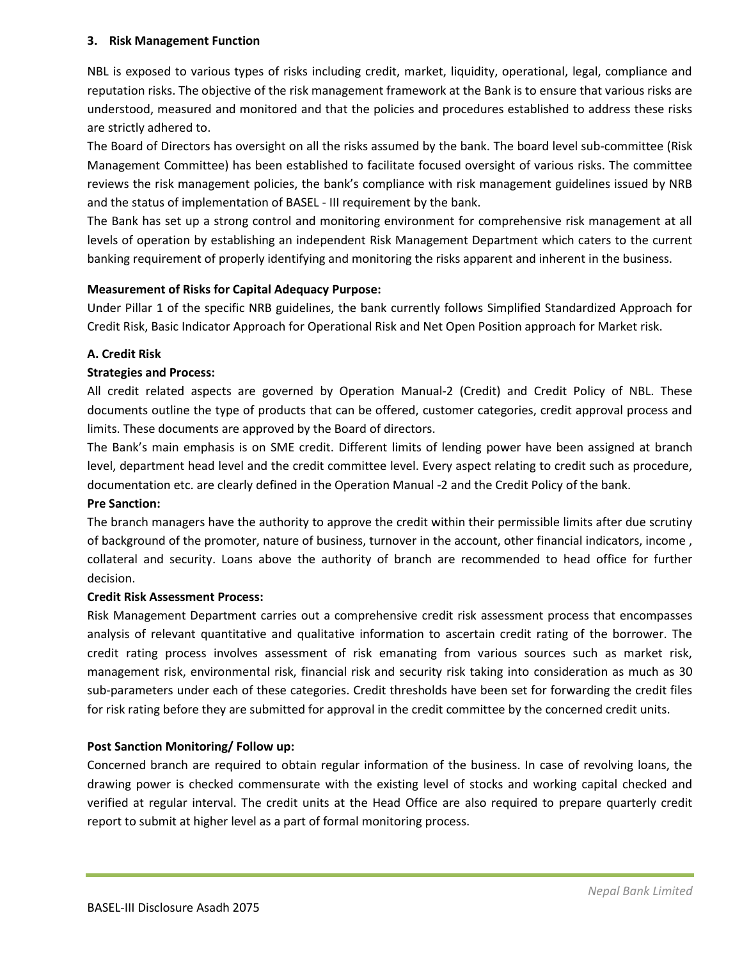## **3. Risk Management Function**

NBL is exposed to various types of risks including credit, market, liquidity, operational, legal, compliance and reputation risks. The objective of the risk management framework at the Bank is to ensure that various risks are understood, measured and monitored and that the policies and procedures established to address these risks are strictly adhered to.

The Board of Directors has oversight on all the risks assumed by the bank. The board level sub-committee (Risk Management Committee) has been established to facilitate focused oversight of various risks. The committee reviews the risk management policies, the bank's compliance with risk management guidelines issued by NRB and the status of implementation of BASEL - III requirement by the bank.

The Bank has set up a strong control and monitoring environment for comprehensive risk management at all levels of operation by establishing an independent Risk Management Department which caters to the current banking requirement of properly identifying and monitoring the risks apparent and inherent in the business.

# **Measurement of Risks for Capital Adequacy Purpose:**

Under Pillar 1 of the specific NRB guidelines, the bank currently follows Simplified Standardized Approach for Credit Risk, Basic Indicator Approach for Operational Risk and Net Open Position approach for Market risk.

# **A. Credit Risk**

# **Strategies and Process:**

All credit related aspects are governed by Operation Manual-2 (Credit) and Credit Policy of NBL. These documents outline the type of products that can be offered, customer categories, credit approval process and limits. These documents are approved by the Board of directors.

The Bank's main emphasis is on SME credit. Different limits of lending power have been assigned at branch level, department head level and the credit committee level. Every aspect relating to credit such as procedure, documentation etc. are clearly defined in the Operation Manual -2 and the Credit Policy of the bank.

## **Pre Sanction:**

The branch managers have the authority to approve the credit within their permissible limits after due scrutiny of background of the promoter, nature of business, turnover in the account, other financial indicators, income , collateral and security. Loans above the authority of branch are recommended to head office for further decision.

## **Credit Risk Assessment Process:**

Risk Management Department carries out a comprehensive credit risk assessment process that encompasses analysis of relevant quantitative and qualitative information to ascertain credit rating of the borrower. The credit rating process involves assessment of risk emanating from various sources such as market risk, management risk, environmental risk, financial risk and security risk taking into consideration as much as 30 sub-parameters under each of these categories. Credit thresholds have been set for forwarding the credit files for risk rating before they are submitted for approval in the credit committee by the concerned credit units.

# **Post Sanction Monitoring/ Follow up:**

Concerned branch are required to obtain regular information of the business. In case of revolving loans, the drawing power is checked commensurate with the existing level of stocks and working capital checked and verified at regular interval. The credit units at the Head Office are also required to prepare quarterly credit report to submit at higher level as a part of formal monitoring process.